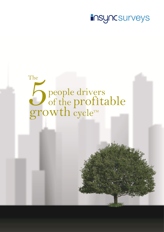# **insyncsurveys**

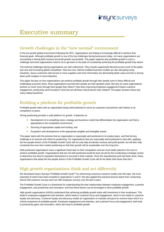## Executive summary

#### Growth challenges in the "new normal" environment

In the low growth global environment following the GFC, organisations are finding it increasingly difficult to achieve their financial goals. Although profitable growth is one of the top challenges facing businesses today, not many organisations are succeeding in driving both revenue and profit growth successfully. This paper explores why profitable growth is such a challenge and what organisations need to do to get back on the path of consistently achieving the profitable growth they desire.

The external challenges facing organisations are well understood. They include suppressed demand across much of the globe and new and increasing global competition. New low-cost, internet enabled business models are also disrupting many industries. Savvy customers with access to more suppliers and more information are demanding better value and this is forcing down profit margins in most industries.

This paper focuses on how organisations can achieve profitable growth through their people even in these difficult and challenging economic times. Most organisations say that their people are their greatest asset. But why do some organisations achieve so much more through their people than others? How does improving employee engagement impact customer engagement, productivity and innovation? And how are all these critical factors inter-related? This paper answers these and many related questions.

### Building a platform for profitable growth

Profitable growth starts with an organisation being well positioned to serve its customers and perform well relative to its competitors or peers.

Strong positioning provides a solid platform for growth. It depends on:

- Development of a compelling vision, strategy and business model that differentiates the organisation and that is appropriate to the competitive environment,
- Sourcing of appropriate capital and funding, and
- **Acquisition and development of the appropriate tangible and intangible assets.**

This paper starts with the premise that an organisation is reasonably well positioned in its market place, and that the key challenge is to execute and refine its positioning. For organisations that are reasonably well positioned to start with, applying the five people drivers of the Profitable Growth Cycle will not only help accelerate revenue and profit growth, but will also help constantly fine tune their market positioning so that their growth will be sustainable over the long term.

Well positioned organisations have a significant head start on their competitors and are much better placed in the race to achieve profitable growth. Organisations that are not well positioned would be best served by first conducting a strategic review to determine how best to reposition themselves to succeed in their markets. Once the repositioning work has been done, those organisations that adopt the five people drivers of the Profitable Growth Cycle will do far better than those that don't.

### High growth organisations think and act differently

We developed Insync Surveys' Profitable Growth Cycle™ by referencing numerous research studies into this topic, the most important of which have been included in Appendices C and D. We also applied the practical lessons learnt from conducting almost 500 customer surveys and over 500 employee surveys over the last 5 years.

The Profitable Growth Cycle is a framework for understanding the inter-relationships between employee engagement, customer engagement, and productivity and innovation, and how these factors can be leveraged to drive profitable growth.

High growth organisations (HGOs) understand that achieving profitable growth starts with investment in their employees. This leads to employee engagement and retention, which leads to customer focus and engagement, which in turn leads to customer loyalty and advocacy. Customer loyalty and advocacy enable an organisation to maintain and grow its revenue base which is a critical component of profitable growth. Employee engagement and retention, and customer focus and engagement, both lead to productivity gains and innovation, which also lead to profitable growth.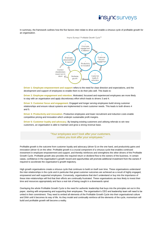

In summary, the framework outlines how the five factors inter-relate to drive and enable a virtuous cycle of profitable growth for an organisation.



**Driver 1: Employee empowerment and support** refers to the need for clear direction and expectations, and the development and support of employees to enable them to do their jobs well. This leads to:

**Driver 2: Employee engagement and retention**. Motivated, focussed and experienced employees are more likely to stay with an organisation and apply discretionary effort which leads to drivers 3 and 4.

**Driver 3: Customer focus and engagement**. Engaged and longer serving employees build strong customer relationships and ensure robust systems are implemented to meet customer needs. This leads to both drivers 4 and 5.

**Driver 4: Productivity and innovation**. Productive employees and lower recruitment and induction costs enable competitive pricing and innovation which underpin sustainable profit margins.

**Driver 5: Customer loyalty and advocacy**. By keeping existing customers and utilising referrals to win new customers, an organisation is able to maintain and grow a strong revenue base.

> *"Your employees won't look after your customers, unless you look after your employees."*

Profitable growth is the outcome from customer loyalty and advocacy (driver 5) on the one hand, and productivity gains and innovation (driver 4) on the other. Profitable growth is a crucial component of a virtuous cycle that enables continued investment in employee empowerment and support, and thereby reinforces and strengthens the other drivers of the Profitable Growth Cycle. Profitable growth also provides the required return or dividend flow to the owners of the business. In certain cases, confidence in the organisation's growth record and opportunities will promote additional investment from the owners if required to accelerate the organisation's growth trajectory.

High growth organisations create a virtuous cycle that continues to build on itself over time. These organisations understand the inter-relationships in the cycle and in particular that great customer outcomes are achieved as a result of highly engaged, empowered and well supported employees. Conversely, organisations that don't understand or buy into the importance of these inter-relationships will find that their efforts are continually frustrated. These organisations are less likely to invest their time and resources appropriately and face a real risk of being caught in a downwards spiral.

Overlaying the whole Profitable Growth Cycle is the need for authentic leadership that buys into the principles set out in this paper, starting with empowering and supporting their employees. The organisation's CEO and leadership team will need to be united in their commitment. They need to embed all elements of the Profitable Growth Cycle into their organisational culture and DNA until it becomes its way of life. As they model and continually reinforce all the elements of the cycle, momentum will build and profitable growth will become a reality.